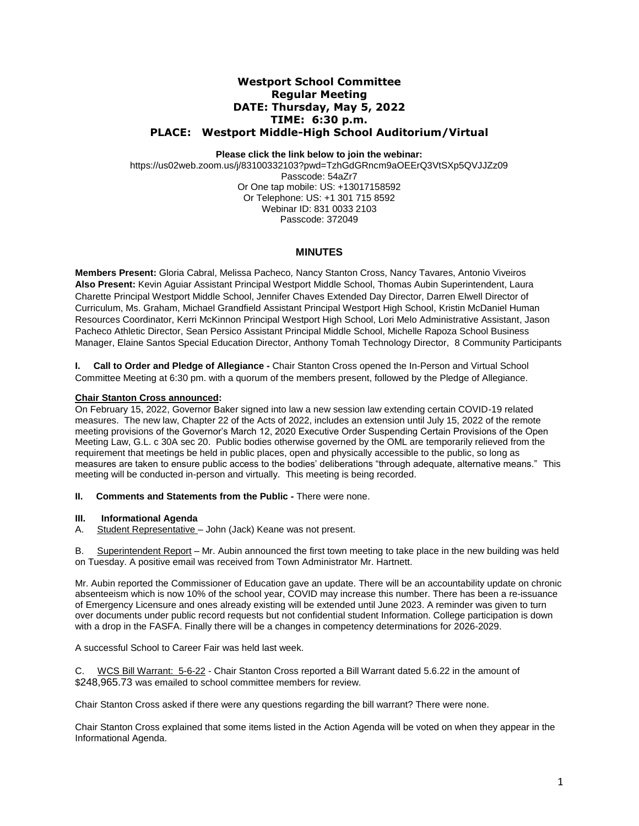# **Westport School Committee Regular Meeting DATE: Thursday, May 5, 2022 TIME: 6:30 p.m. PLACE: Westport Middle-High School Auditorium/Virtual**

# **Please click the link below to join the webinar:**

https://us02web.zoom.us/j/83100332103?pwd=TzhGdGRncm9aOEErQ3VtSXp5QVJJZz09 Passcode: 54aZr7 Or One tap mobile: US: +13017158592 Or Telephone: US: +1 301 715 8592 Webinar ID: 831 0033 2103 Passcode: 372049

# **MINUTES**

**Members Present:** Gloria Cabral, Melissa Pacheco*,* Nancy Stanton Cross, Nancy Tavares, Antonio Viveiros **Also Present:** Kevin Aguiar Assistant Principal Westport Middle School, Thomas Aubin Superintendent, Laura Charette Principal Westport Middle School, Jennifer Chaves Extended Day Director, Darren Elwell Director of Curriculum, Ms. Graham, Michael Grandfield Assistant Principal Westport High School, Kristin McDaniel Human Resources Coordinator, Kerri McKinnon Principal Westport High School, Lori Melo Administrative Assistant, Jason Pacheco Athletic Director, Sean Persico Assistant Principal Middle School, Michelle Rapoza School Business Manager, Elaine Santos Special Education Director, Anthony Tomah Technology Director, 8 Community Participants

**I. Call to Order and Pledge of Allegiance -** Chair Stanton Cross opened the In-Person and Virtual School Committee Meeting at 6:30 pm. with a quorum of the members present, followed by the Pledge of Allegiance.

### **Chair Stanton Cross announced:**

On February 15, 2022, Governor Baker signed into law a new session law extending certain COVID-19 related measures. The new law, Chapter 22 of the Acts of 2022, includes an extension until July 15, 2022 of the remote meeting provisions of the Governor's March 12, 2020 Executive Order Suspending Certain Provisions of the Open Meeting Law, G.L. c 30A sec 20. Public bodies otherwise governed by the OML are temporarily relieved from the requirement that meetings be held in public places, open and physically accessible to the public, so long as measures are taken to ensure public access to the bodies' deliberations "through adequate, alternative means." This meeting will be conducted in-person and virtually. This meeting is being recorded.

#### **II. Comments and Statements from the Public -** There were none.

#### **III. Informational Agenda**

A. Student Representative – John (Jack) Keane was not present.

B. Superintendent Report – Mr. Aubin announced the first town meeting to take place in the new building was held on Tuesday. A positive email was received from Town Administrator Mr. Hartnett.

Mr. Aubin reported the Commissioner of Education gave an update. There will be an accountability update on chronic absenteeism which is now 10% of the school year, COVID may increase this number. There has been a re-issuance of Emergency Licensure and ones already existing will be extended until June 2023. A reminder was given to turn over documents under public record requests but not confidential student Information. College participation is down with a drop in the FASFA. Finally there will be a changes in competency determinations for 2026-2029.

A successful School to Career Fair was held last week.

C. WCS Bill Warrant: 5-6-22 - Chair Stanton Cross reported a Bill Warrant dated 5.6.22 in the amount of \$248,965.73 was emailed to school committee members for review.

Chair Stanton Cross asked if there were any questions regarding the bill warrant? There were none.

Chair Stanton Cross explained that some items listed in the Action Agenda will be voted on when they appear in the Informational Agenda.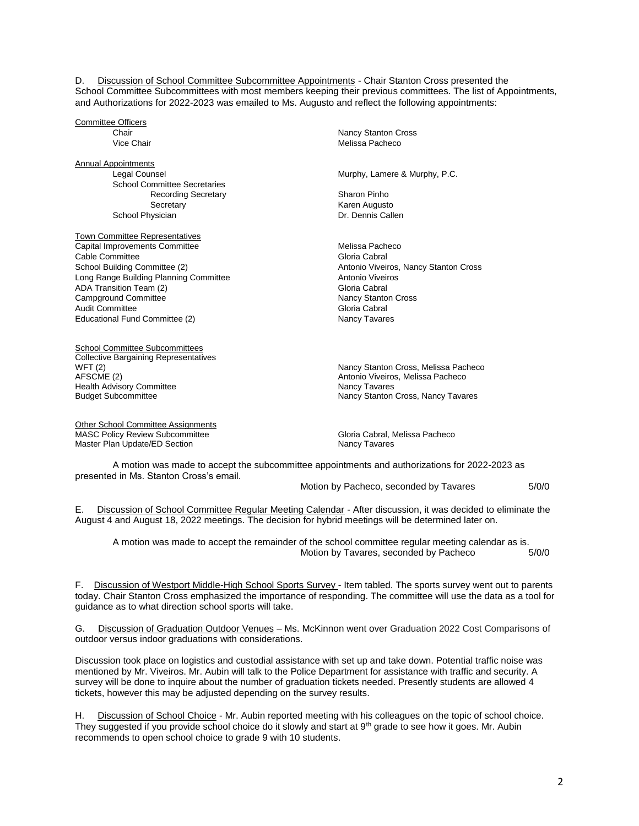D. Discussion of School Committee Subcommittee Appointments - Chair Stanton Cross presented the School Committee Subcommittees with most members keeping their previous committees. The list of Appointments, and Authorizations for 2022-2023 was emailed to Ms. Augusto and reflect the following appointments:

Committee Officers<br>Chair

**Annual Appointments** School Committee Secretaries Recording Secretary **Sharon Pinho** Secretary **Karen Augusto** School Physician **Dr. Dennis Callen** 

Town Committee Representatives **Capital Improvements Committee Committee Capital School Additional Melissa Pacheco** Cable Committee Committee Cabral Cabral Cabral Cabral Cabral Cabral Cabral Cabral Cabral Cabral Cabral Cabral Cabral Cabral Cabral Cabral Cabral Cabral Cabral Cabral Cabral Cabral Cabral Cabral Cabral Cabral Cabral Cabral School Building Committee (2) Antonio Viveiros, Nancy Stanton Cross Long Range Building Planning Committee **Antonio Viveiros**<br>ADA Transition Team (2) Antonio Viveiros ADA Transition Team (2) ADA Transition Team (2) and the control of the Cabral Gloria Cabral Gloria Cabral Gloria Cabral Gloria Cross<br>Camparound Committee the Cabral Cabral Cross (Nancy Stanton Cross Campground Committee **Nancy Stanton Committee Cross Campground Committee Nancy Stanton Cross Cross Cross Cross C**<br>Audit Committee **Nancy Standard Cross Cross Cross Cross Cross Cross Cross Cross Cross Cross Cross Cross Cros** Audit Committee Educational Fund Committee (2) Nancy Tavares

School Committee Subcommittees Collective Bargaining Representatives<br>WFT (2) **Health Advisory Committee** 

Other School Committee Assignments MASC Policy Review Subcommittee<br>
Master Plan Update/ED Section<br>
Mancy Tavares Master Plan Update/ED Section

**Nancy Stanton Cross** Vice Chair **Melissa Pacheco Melissa** Pacheco

Legal Counsel Murphy, Lamere & Murphy, P.C.

WFT (2) The Case of the Cross, Melissa Pacheco AFSCME (2) The Cross, Melissa Pacheco AFSCME (2) Antonio Viveiros, Melissa Pacheco<br>Nancy Tavares Budget Subcommittee Nancy Stanton Cross, Nancy Tavares

A motion was made to accept the subcommittee appointments and authorizations for 2022-2023 as presented in Ms. Stanton Cross's email.

Motion by Pacheco, seconded by Tavares 5/0/0

E. Discussion of School Committee Regular Meeting Calendar - After discussion, it was decided to eliminate the August 4 and August 18, 2022 meetings. The decision for hybrid meetings will be determined later on.

A motion was made to accept the remainder of the school committee regular meeting calendar as is. Motion by Tavares, seconded by Pacheco 5/0/0

F. Discussion of Westport Middle-High School Sports Survey - Item tabled. The sports survey went out to parents today. Chair Stanton Cross emphasized the importance of responding. The committee will use the data as a tool for guidance as to what direction school sports will take.

G. Discussion of Graduation Outdoor Venues – Ms. McKinnon went over Graduation 2022 Cost Comparisons of outdoor versus indoor graduations with considerations.

Discussion took place on logistics and custodial assistance with set up and take down. Potential traffic noise was mentioned by Mr. Viveiros. Mr. Aubin will talk to the Police Department for assistance with traffic and security. A survey will be done to inquire about the number of graduation tickets needed. Presently students are allowed 4 tickets, however this may be adjusted depending on the survey results.

H. Discussion of School Choice - Mr. Aubin reported meeting with his colleagues on the topic of school choice. They suggested if you provide school choice do it slowly and start at 9<sup>th</sup> grade to see how it goes. Mr. Aubin recommends to open school choice to grade 9 with 10 students.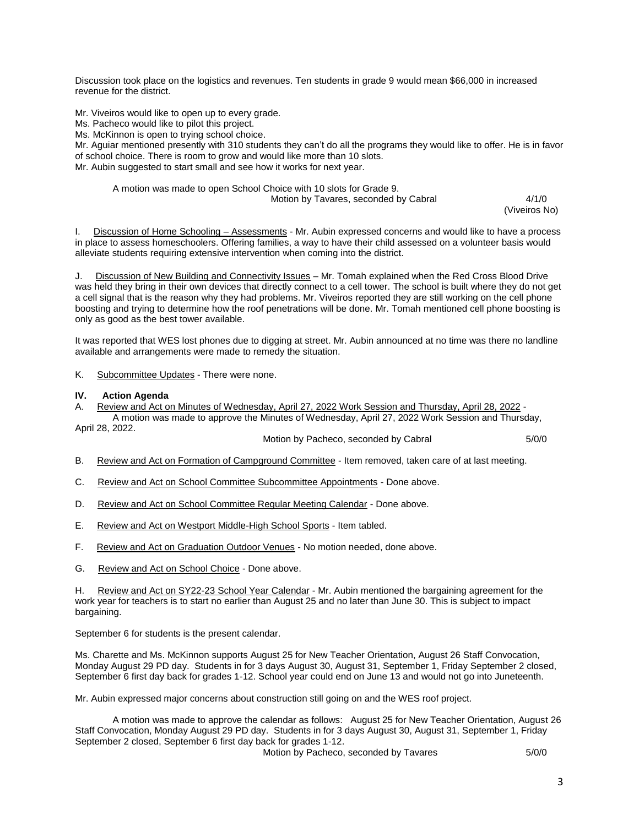Discussion took place on the logistics and revenues. Ten students in grade 9 would mean \$66,000 in increased revenue for the district.

Mr. Viveiros would like to open up to every grade.

Ms. Pacheco would like to pilot this project.

Ms. McKinnon is open to trying school choice.

Mr. Aguiar mentioned presently with 310 students they can't do all the programs they would like to offer. He is in favor of school choice. There is room to grow and would like more than 10 slots. Mr. Aubin suggested to start small and see how it works for next year.

# A motion was made to open School Choice with 10 slots for Grade 9.

Motion by Tavares, seconded by Cabral 4/1/0

(Viveiros No)

I. Discussion of Home Schooling – Assessments - Mr. Aubin expressed concerns and would like to have a process in place to assess homeschoolers. Offering families, a way to have their child assessed on a volunteer basis would alleviate students requiring extensive intervention when coming into the district.

J. Discussion of New Building and Connectivity Issues – Mr. Tomah explained when the Red Cross Blood Drive was held they bring in their own devices that directly connect to a cell tower. The school is built where they do not get a cell signal that is the reason why they had problems. Mr. Viveiros reported they are still working on the cell phone boosting and trying to determine how the roof penetrations will be done. Mr. Tomah mentioned cell phone boosting is only as good as the best tower available.

It was reported that WES lost phones due to digging at street. Mr. Aubin announced at no time was there no landline available and arrangements were made to remedy the situation.

K. Subcommittee Updates - There were none.

### **IV. Action Agenda**

A. Review and Act on Minutes of Wednesday, April 27, 2022 Work Session and Thursday, April 28, 2022 - A motion was made to approve the Minutes of Wednesday, April 27, 2022 Work Session and Thursday,

April 28, 2022.

Motion by Pacheco, seconded by Cabral 5/0/0

- B. Review and Act on Formation of Campground Committee Item removed, taken care of at last meeting.
- C. Review and Act on School Committee Subcommittee Appointments Done above.
- D. Review and Act on School Committee Regular Meeting Calendar Done above.
- E. Review and Act on Westport Middle-High School Sports Item tabled.
- F. Review and Act on Graduation Outdoor Venues No motion needed, done above.
- G. Review and Act on School Choice Done above.

H. Review and Act on SY22-23 School Year Calendar - Mr. Aubin mentioned the bargaining agreement for the work year for teachers is to start no earlier than August 25 and no later than June 30. This is subject to impact bargaining.

September 6 for students is the present calendar.

Ms. Charette and Ms. McKinnon supports August 25 for New Teacher Orientation, August 26 Staff Convocation, Monday August 29 PD day. Students in for 3 days August 30, August 31, September 1, Friday September 2 closed, September 6 first day back for grades 1-12. School year could end on June 13 and would not go into Juneteenth.

Mr. Aubin expressed major concerns about construction still going on and the WES roof project.

A motion was made to approve the calendar as follows: August 25 for New Teacher Orientation, August 26 Staff Convocation, Monday August 29 PD day. Students in for 3 days August 30, August 31, September 1, Friday September 2 closed, September 6 first day back for grades 1-12.

Motion by Pacheco, seconded by Tavares 5/0/0